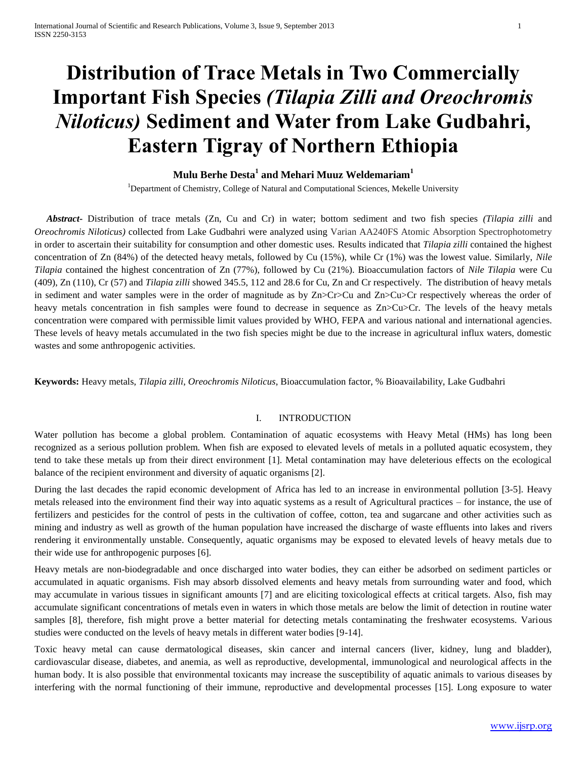# **Distribution of Trace Metals in Two Commercially Important Fish Species** *(Tilapia Zilli and Oreochromis Niloticus)* **Sediment and Water from Lake Gudbahri, Eastern Tigray of Northern Ethiopia**

# **Mulu Berhe Desta<sup>1</sup> and Mehari Muuz Weldemariam<sup>1</sup>**

<sup>1</sup>Department of Chemistry, College of Natural and Computational Sciences, Mekelle University

 *Abstract***-** Distribution of trace metals (Zn, Cu and Cr) in water; bottom sediment and two fish species *(Tilapia zilli* and *Oreochromis Niloticus)* collected from Lake Gudbahri were analyzed using Varian AA240FS Atomic Absorption Spectrophotometry in order to ascertain their suitability for consumption and other domestic uses. Results indicated that *Tilapia zilli* contained the highest concentration of Zn (84%) of the detected heavy metals, followed by Cu (15%), while Cr (1%) was the lowest value. Similarly, *Nile Tilapia* contained the highest concentration of Zn (77%), followed by Cu (21%). Bioaccumulation factors of *Nile Tilapia* were Cu (409), Zn (110), Cr (57) and *Tilapia zilli* showed 345.5, 112 and 28.6 for Cu, Zn and Cr respectively. The distribution of heavy metals in sediment and water samples were in the order of magnitude as by Zn>Cr>Cu and Zn>Cu>Cr respectively whereas the order of heavy metals concentration in fish samples were found to decrease in sequence as  $Zn>Cu>Cr$ . The levels of the heavy metals concentration were compared with permissible limit values provided by WHO, FEPA and various national and international agencies. These levels of heavy metals accumulated in the two fish species might be due to the increase in agricultural influx waters, domestic wastes and some anthropogenic activities.

**Keywords:** Heavy metals, *Tilapia zilli*, *Oreochromis Niloticus*, Bioaccumulation factor, % Bioavailability, Lake Gudbahri

# I. INTRODUCTION

Water pollution has become a global problem. Contamination of aquatic ecosystems with Heavy Metal (HMs) has long been recognized as a serious pollution problem. When fish are exposed to elevated levels of metals in a polluted aquatic ecosystem, they tend to take these metals up from their direct environment [1]. Metal contamination may have deleterious effects on the ecological balance of the recipient environment and diversity of aquatic organisms [2].

During the last decades the rapid economic development of Africa has led to an increase in environmental pollution [3-5]. Heavy metals released into the environment find their way into aquatic systems as a result of Agricultural practices – for instance, the use of fertilizers and pesticides for the control of pests in the cultivation of coffee, cotton, tea and sugarcane and other activities such as mining and industry as well as growth of the human population have increased the discharge of waste effluents into lakes and rivers rendering it environmentally unstable. Consequently, aquatic organisms may be exposed to elevated levels of heavy metals due to their wide use for anthropogenic purposes [6].

Heavy metals are non-biodegradable and once discharged into water bodies, they can either be adsorbed on sediment particles or accumulated in aquatic organisms. Fish may absorb dissolved elements and heavy metals from surrounding water and food, which may accumulate in various tissues in significant amounts [7] and are eliciting toxicological effects at critical targets. Also, fish may accumulate significant concentrations of metals even in waters in which those metals are below the limit of detection in routine water samples [8], therefore, fish might prove a better material for detecting metals contaminating the freshwater ecosystems. Various studies were conducted on the levels of heavy metals in different water bodies [9-14].

Toxic heavy metal can cause dermatological diseases, skin cancer and internal cancers (liver, kidney, lung and bladder), cardiovascular disease, diabetes, and anemia, as well as reproductive, developmental, immunological and neurological affects in the human body. It is also possible that environmental toxicants may increase the susceptibility of aquatic animals to various diseases by interfering with the normal functioning of their immune, reproductive and developmental processes [15]. Long exposure to water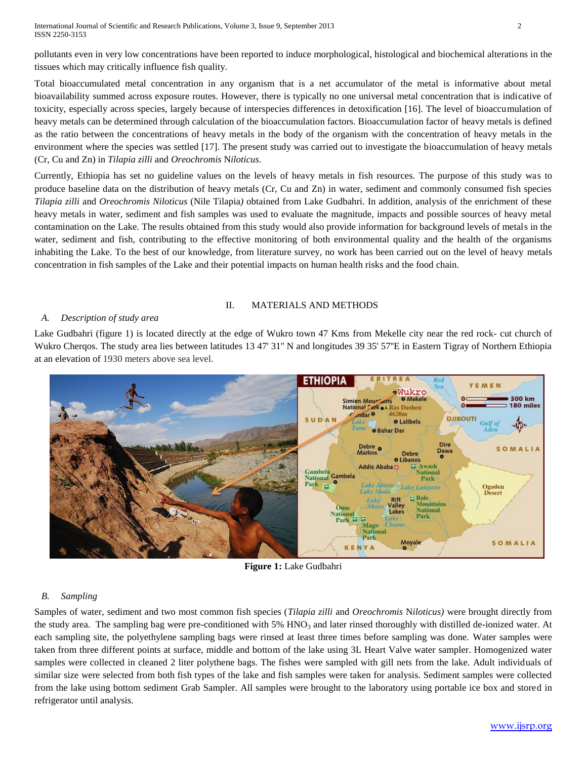pollutants even in very low concentrations have been reported to induce morphological, histological and biochemical alterations in the tissues which may critically influence fish quality.

Total bioaccumulated metal concentration in any organism that is a net accumulator of the metal is informative about metal bioavailability summed across exposure routes. However, there is typically no one universal metal concentration that is indicative of toxicity, especially across species, largely because of interspecies differences in detoxification [16]. The level of bioaccumulation of heavy metals can be determined through calculation of the bioaccumulation factors. Bioaccumulation factor of heavy metals is defined as the ratio between the concentrations of heavy metals in the body of the organism with the concentration of heavy metals in the environment where the species was settled [17]. The present study was carried out to investigate the bioaccumulation of heavy metals (Cr, Cu and Zn) in *Tilapia zilli* and *Oreochromis* N*iloticus*.

Currently, Ethiopia has set no guideline values on the levels of heavy metals in fish resources. The purpose of this study was to produce baseline data on the distribution of heavy metals (Cr, Cu and Zn) in water, sediment and commonly consumed fish species *Tilapia zilli* and *Oreochromis Niloticus* (Nile Tilapia*)* obtained from Lake Gudbahri. In addition, analysis of the enrichment of these heavy metals in water, sediment and fish samples was used to evaluate the magnitude, impacts and possible sources of heavy metal contamination on the Lake. The results obtained from this study would also provide information for background levels of metals in the water, sediment and fish, contributing to the effective monitoring of both environmental quality and the health of the organisms inhabiting the Lake. To the best of our knowledge, from literature survey, no work has been carried out on the level of heavy metals concentration in fish samples of the Lake and their potential impacts on human health risks and the food chain.

# II. MATERIALS AND METHODS

# *A. Description of study area*

Lake Gudbahri (figure 1) is located directly at the edge of Wukro town 47 Kms from Mekelle city near the red rock- cut church of Wukro Cherqos. The study area lies between latitudes 13 47' 31'' N and longitudes 39 35' 57''E in Eastern Tigray of Northern Ethiopia at an elevation of 1930 meters above sea level.



**Figure 1:** Lake Gudbahri

# *B. Sampling*

Samples of water, sediment and two most common fish species (*Tilapia zilli* and *Oreochromis* N*iloticus)* were brought directly from the study area. The sampling bag were pre-conditioned with  $5\%$  HNO<sub>3</sub> and later rinsed thoroughly with distilled de-ionized water. At each sampling site, the polyethylene sampling bags were rinsed at least three times before sampling was done. Water samples were taken from three different points at surface, middle and bottom of the lake using 3L Heart Valve water sampler. Homogenized water samples were collected in cleaned 2 liter polythene bags. The fishes were sampled with gill nets from the lake. Adult individuals of similar size were selected from both fish types of the lake and fish samples were taken for analysis. Sediment samples were collected from the lake using bottom sediment Grab Sampler. All samples were brought to the laboratory using portable ice box and stored in refrigerator until analysis.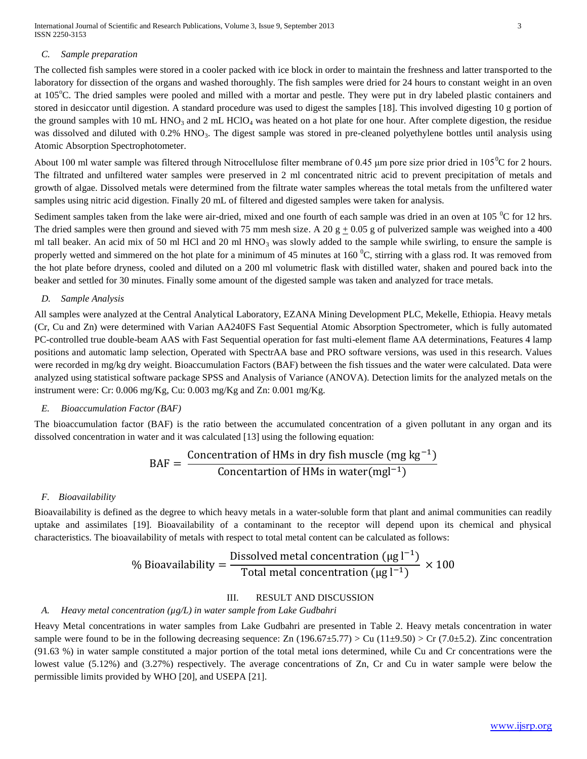International Journal of Scientific and Research Publications, Volume 3, Issue 9, September 2013 3 ISSN 2250-3153

## *C. Sample preparation*

The collected fish samples were stored in a cooler packed with ice block in order to maintain the freshness and latter transported to the laboratory for dissection of the organs and washed thoroughly. The fish samples were dried for 24 hours to constant weight in an oven at 105<sup>o</sup>C. The dried samples were pooled and milled with a mortar and pestle. They were put in dry labeled plastic containers and stored in desiccator until digestion. A standard procedure was used to digest the samples [18]. This involved digesting 10 g portion of the ground samples with 10 mL HNO<sub>3</sub> and 2 mL HClO<sub>4</sub> was heated on a hot plate for one hour. After complete digestion, the residue was dissolved and diluted with 0.2% HNO<sub>3</sub>. The digest sample was stored in pre-cleaned polyethylene bottles until analysis using Atomic Absorption Spectrophotometer.

About 100 ml water sample was filtered through Nitrocellulose filter membrane of 0.45  $\mu$ m pore size prior dried in 105<sup>°</sup>C for 2 hours. The filtrated and unfiltered water samples were preserved in 2 ml concentrated nitric acid to prevent precipitation of metals and growth of algae. Dissolved metals were determined from the filtrate water samples whereas the total metals from the unfiltered water samples using nitric acid digestion. Finally 20 mL of filtered and digested samples were taken for analysis.

Sediment samples taken from the lake were air-dried, mixed and one fourth of each sample was dried in an oven at  $105\,^0C$  for 12 hrs. The dried samples were then ground and sieved with 75 mm mesh size. A 20 g + 0.05 g of pulverized sample was weighed into a 400 ml tall beaker. An acid mix of 50 ml HCl and 20 ml HNO<sub>3</sub> was slowly added to the sample while swirling, to ensure the sample is properly wetted and simmered on the hot plate for a minimum of 45 minutes at 160  $^{\circ}$ C, stirring with a glass rod. It was removed from the hot plate before dryness, cooled and diluted on a 200 ml volumetric flask with distilled water, shaken and poured back into the beaker and settled for 30 minutes. Finally some amount of the digested sample was taken and analyzed for trace metals.

# *D. Sample Analysis*

All samples were analyzed at the Central Analytical Laboratory, EZANA Mining Development PLC, Mekelle, Ethiopia. Heavy metals (Cr, Cu and Zn) were determined with Varian AA240FS Fast Sequential Atomic Absorption Spectrometer, which is fully automated PC-controlled true double-beam AAS with Fast Sequential operation for fast multi-element flame AA determinations, Features 4 lamp positions and automatic lamp selection, Operated with SpectrAA base and PRO software versions, was used in this research. Values were recorded in mg/kg dry weight. Bioaccumulation Factors (BAF) between the fish tissues and the water were calculated. Data were analyzed using statistical software package SPSS and Analysis of Variance (ANOVA). Detection limits for the analyzed metals on the instrument were: Cr: 0.006 mg/Kg, Cu: 0.003 mg/Kg and Zn: 0.001 mg/Kg.

#### *E. Bioaccumulation Factor (BAF)*

The bioaccumulation factor (BAF) is the ratio between the accumulated concentration of a given pollutant in any organ and its dissolved concentration in water and it was calculated [13] using the following equation:

$$
BAF = \frac{\text{Concentration of HMS in dry fish muscle (mg kg-1)}{\text{Concentration of HMS in water(mgl-1)}}
$$

#### *F. Bioavailability*

Bioavailability is defined as the degree to which heavy metals in a water-soluble form that plant and animal communities can readily uptake and assimilates [19]. Bioavailability of a contaminant to the receptor will depend upon its chemical and physical characteristics. The bioavailability of metals with respect to total metal content can be calculated as follows:

$$
\% Bioavailability = \frac{Dis solved metal concentration (\mu g l^{-1})}{Total metal concentration (\mu g l^{-1})} \times 100
$$

## III. RESULT AND DISCUSSION

#### *A. Heavy metal concentration (µg/L) in water sample from Lake Gudbahri*

Heavy Metal concentrations in water samples from Lake Gudbahri are presented in Table 2. Heavy metals concentration in water sample were found to be in the following decreasing sequence: Zn (196.67 $\pm$ 5.77) > Cu (11 $\pm$ 9.50) > Cr (7.0 $\pm$ 5.2). Zinc concentration (91.63 %) in water sample constituted a major portion of the total metal ions determined, while Cu and Cr concentrations were the lowest value (5.12%) and (3.27%) respectively. The average concentrations of Zn, Cr and Cu in water sample were below the permissible limits provided by WHO [20], and USEPA [21].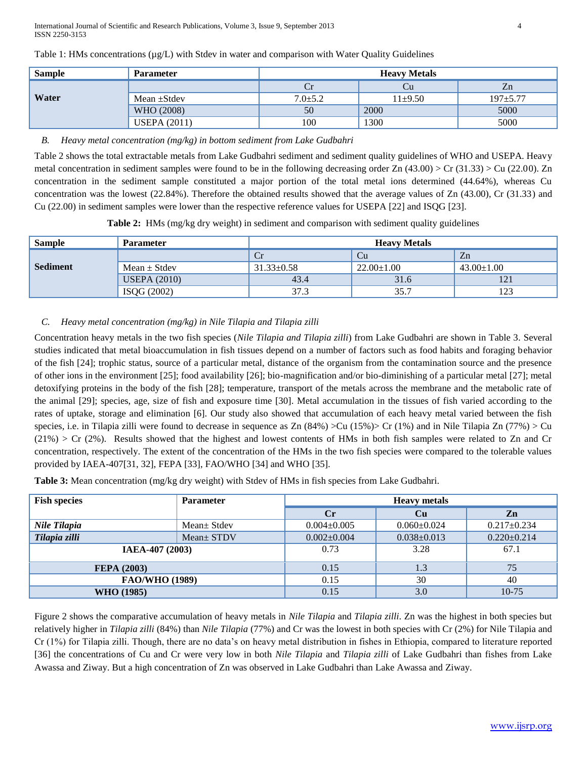International Journal of Scientific and Research Publications, Volume 3, Issue 9, September 2013 4 ISSN 2250-3153

| <b>Sample</b> | <b>Parameter</b>    | <b>Heavy Metals</b> |           |              |
|---------------|---------------------|---------------------|-----------|--------------|
| Water         |                     |                     |           | Zn           |
|               | Mean $\pm$ Stdev    | $7.0 \pm 5.2$       | $11+9.50$ | $197 + 5.77$ |
|               | WHO (2008)          | 50                  | 2000      | 5000         |
|               | <b>USEPA</b> (2011) | 100                 | 1300      | 5000         |

Table 1: HMs concentrations ( $\mu$ g/L) with Stdev in water and comparison with Water Quality Guidelines

# *B. Heavy metal concentration (mg/kg) in bottom sediment from Lake Gudbahri*

Table 2 shows the total extractable metals from Lake Gudbahri sediment and sediment quality guidelines of WHO and USEPA. Heavy metal concentration in sediment samples were found to be in the following decreasing order  $Zn$  (43.00) > Cr (31.33) > Cu (22.00). Zn concentration in the sediment sample constituted a major portion of the total metal ions determined (44.64%), whereas Cu concentration was the lowest (22.84%). Therefore the obtained results showed that the average values of Zn (43.00), Cr (31.33) and Cu (22.00) in sediment samples were lower than the respective reference values for USEPA [22] and ISQG [23].

**Table 2:** HMs (mg/kg dry weight) in sediment and comparison with sediment quality guidelines

| <b>Sample</b>   | <b>Parameter</b>    | <b>Heavy Metals</b> |                  |                  |  |
|-----------------|---------------------|---------------------|------------------|------------------|--|
| <b>Sediment</b> |                     | Cr                  | Ċu               | Zn               |  |
|                 | Mean $\pm$ Stdev    | $31.33 \pm 0.58$    | $22.00 \pm 1.00$ | $43.00 \pm 1.00$ |  |
|                 | <b>USEPA (2010)</b> | 43.4                | 31.6             |                  |  |
|                 | ISQG (2002)         | 37.3                | 35.7             | 123              |  |

# *C. Heavy metal concentration (mg/kg) in Nile Tilapia and Tilapia zilli*

Concentration heavy metals in the two fish species (*Nile Tilapia and Tilapia zilli*) from Lake Gudbahri are shown in Table 3. Several studies indicated that metal bioaccumulation in fish tissues depend on a number of factors such as food habits and foraging behavior of the fish [24]; trophic status, source of a particular metal, distance of the organism from the contamination source and the presence of other ions in the environment [25]; food availability [26]; bio-magnification and/or bio-diminishing of a particular metal [27]; metal detoxifying proteins in the body of the fish [28]; temperature, transport of the metals across the membrane and the metabolic rate of the animal [29]; species, age, size of fish and exposure time [30]. Metal accumulation in the tissues of fish varied according to the rates of uptake, storage and elimination [6]. Our study also showed that accumulation of each heavy metal varied between the fish species, i.e. in Tilapia zilli were found to decrease in sequence as  $Zn (84%) > Cu (15%) > Cr (1%)$  and in Nile Tilapia  $Zn (77%) > Cu$  $(21%)$  > Cr (2%). Results showed that the highest and lowest contents of HMs in both fish samples were related to Zn and Cr concentration, respectively. The extent of the concentration of the HMs in the two fish species were compared to the tolerable values provided by IAEA-407[31, 32], FEPA [33], FAO/WHO [34] and WHO [35].

**Table 3:** Mean concentration (mg/kg dry weight) with Stdev of HMs in fish species from Lake Gudbahri.

| <b>Fish species</b> | <b>Parameter</b> | <b>Heavy</b> metals |                   |                   |
|---------------------|------------------|---------------------|-------------------|-------------------|
|                     |                  | $C_{r}$             | Cu                | Zn                |
| Nile Tilapia        | Mean + Stdev     | $0.004 \pm 0.005$   | $0.060 \pm 0.024$ | $0.217 \pm 0.234$ |
| Tilapia zilli       | $Mean \pm STDV$  | $0.002 \pm 0.004$   | $0.038 \pm 0.013$ | $0.220 \pm 0.214$ |
| IAEA-407 (2003)     |                  | 0.73                | 3.28              | 67.1              |
| <b>FEPA (2003)</b>  |                  | 0.15                | 1.3               | 75                |
| FAO/WHO (1989)      |                  | 0.15                | 30                | 40                |
| WHO (1985)          |                  | 0.15                | 3.0               | $10-75$           |

Figure 2 shows the comparative accumulation of heavy metals in *Nile Tilapia* and *Tilapia zilli*. Zn was the highest in both species but relatively higher in *Tilapia zilli* (84%) than *Nile Tilapia* (77%) and Cr was the lowest in both species with Cr (2%) for Nile Tilapia and Cr (1%) for Tilapia zilli. Though, there are no data's on heavy metal distribution in fishes in Ethiopia, compared to literature reported [36] the concentrations of Cu and Cr were very low in both *Nile Tilapia* and *Tilapia zilli* of Lake Gudbahri than fishes from Lake Awassa and Ziway. But a high concentration of Zn was observed in Lake Gudbahri than Lake Awassa and Ziway.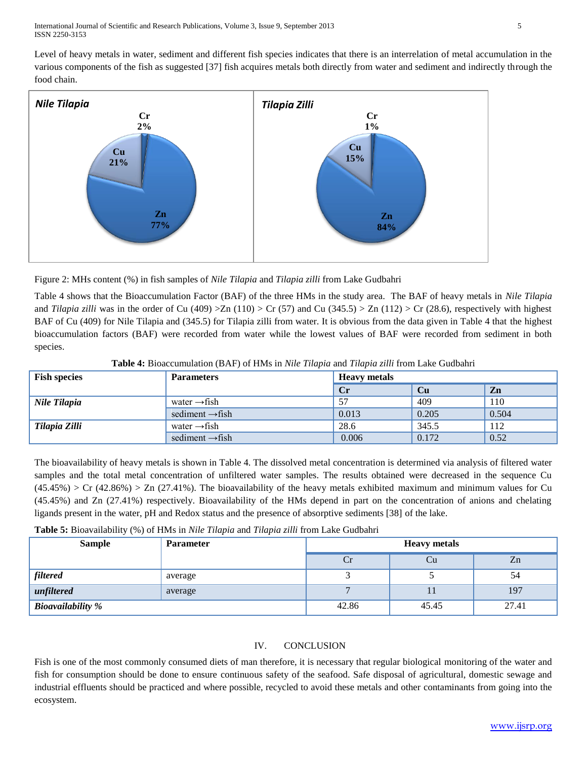Level of heavy metals in water, sediment and different fish species indicates that there is an interrelation of metal accumulation in the various components of the fish as suggested [37] fish acquires metals both directly from water and sediment and indirectly through the food chain.



Figure 2: MHs content (%) in fish samples of *Nile Tilapia* and *Tilapia zilli* from Lake Gudbahri

Table 4 shows that the Bioaccumulation Factor (BAF) of the three HMs in the study area. The BAF of heavy metals in *Nile Tilapia* and *Tilapia zilli* was in the order of Cu (409)  $\geq$  Zn (110)  $\geq$  Cr (57) and Cu (345.5)  $\geq$  Zn (112)  $\geq$  Cr (28.6), respectively with highest BAF of Cu (409) for Nile Tilapia and (345.5) for Tilapia zilli from water. It is obvious from the data given in Table 4 that the highest bioaccumulation factors (BAF) were recorded from water while the lowest values of BAF were recorded from sediment in both species.

| <b>Fish species</b> | <b>Parameters</b>           | <b>Heavy metals</b> |       |       |
|---------------------|-----------------------------|---------------------|-------|-------|
|                     |                             | $\mathbf{C}$ r      | Cu    | Zn    |
| Nile Tilapia        | water $\rightarrow$ fish    | 57                  | 409   | 110   |
|                     | sediment $\rightarrow$ fish | 0.013               | 0.205 | 0.504 |
| Tilapia Zilli       | water $\rightarrow$ fish    | 28.6                | 345.5 | 112   |
|                     | sediment $\rightarrow$ fish | 0.006               | 0.172 | 0.52  |

**Table 4:** Bioaccumulation (BAF) of HMs in *Nile Tilapia* and *Tilapia zilli* from Lake Gudbahri

The bioavailability of heavy metals is shown in Table 4. The dissolved metal concentration is determined via analysis of filtered water samples and the total metal concentration of unfiltered water samples. The results obtained were decreased in the sequence Cu  $(45.45%)$  > Cr  $(42.86%)$  > Zn  $(27.41%)$ . The bioavailability of the heavy metals exhibited maximum and minimum values for Cu (45.45%) and Zn (27.41%) respectively. Bioavailability of the HMs depend in part on the concentration of anions and chelating ligands present in the water, pH and Redox status and the presence of absorptive sediments [38] of the lake.

**Table 5:** Bioavailability (%) of HMs in *Nile Tilapia* and *Tilapia zilli* from Lake Gudbahri

| <b>Sample</b>            | <b>Parameter</b> | <b>Heavy metals</b> |       |       |
|--------------------------|------------------|---------------------|-------|-------|
|                          |                  |                     | Ċu    | Zn    |
| filtered                 | average          |                     |       | 54    |
| unfiltered               | average          |                     | . .   | 197   |
| <b>Bioavailability %</b> |                  | 42.86               | 45.45 | 27.41 |

# IV. CONCLUSION

Fish is one of the most commonly consumed diets of man therefore, it is necessary that regular biological monitoring of the water and fish for consumption should be done to ensure continuous safety of the seafood. Safe disposal of agricultural, domestic sewage and industrial effluents should be practiced and where possible, recycled to avoid these metals and other contaminants from going into the ecosystem.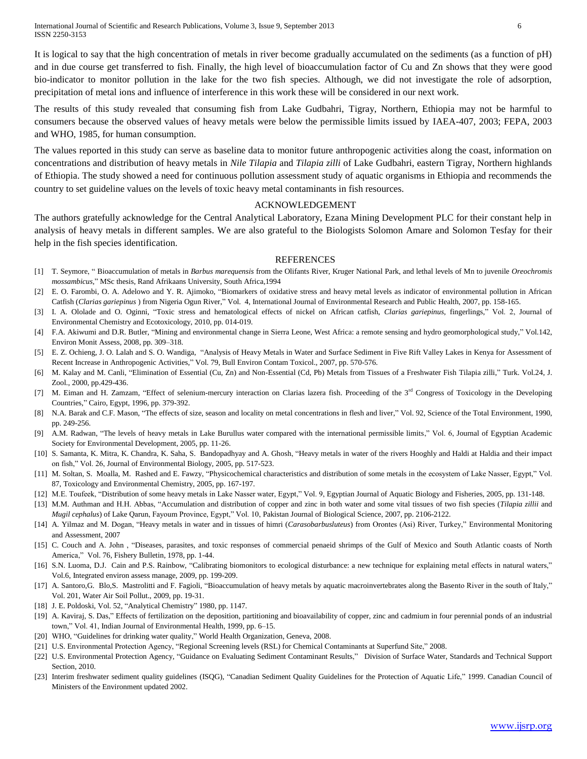International Journal of Scientific and Research Publications, Volume 3, Issue 9, September 2013 6 ISSN 2250-3153

It is logical to say that the high concentration of metals in river become gradually accumulated on the sediments (as a function of pH) and in due course get transferred to fish. Finally, the high level of bioaccumulation factor of Cu and Zn shows that they were good bio-indicator to monitor pollution in the lake for the two fish species. Although, we did not investigate the role of adsorption, precipitation of metal ions and influence of interference in this work these will be considered in our next work.

The results of this study revealed that consuming fish from Lake Gudbahri, Tigray, Northern, Ethiopia may not be harmful to consumers because the observed values of heavy metals were below the permissible limits issued by IAEA-407, 2003; FEPA, 2003 and WHO, 1985, for human consumption.

The values reported in this study can serve as baseline data to monitor future anthropogenic activities along the coast, information on concentrations and distribution of heavy metals in *Nile Tilapia* and *Tilapia zilli* of Lake Gudbahri, eastern Tigray, Northern highlands of Ethiopia. The study showed a need for continuous pollution assessment study of aquatic organisms in Ethiopia and recommends the country to set guideline values on the levels of toxic heavy metal contaminants in fish resources.

## ACKNOWLEDGEMENT

The authors gratefully acknowledge for the Central Analytical Laboratory, Ezana Mining Development PLC for their constant help in analysis of heavy metals in different samples. We are also grateful to the Biologists Solomon Amare and Solomon Tesfay for their help in the fish species identification.

#### REFERENCES

- [1] T. Seymore, " Bioaccumulation of metals in *Barbus marequensis* from the Olifants River, Kruger National Park, and lethal levels of Mn to juvenile *Oreochromis mossambicus,*" MSc thesis, Rand Afrikaans University, South Africa,1994
- [2] E. O. Farombi, O. A. Adelowo and Y. R. Ajimoko, "Biomarkers of oxidative stress and heavy metal levels as indicator of environmental pollution in African Catfish (*Clarias gariepinus* ) from Nigeria Ogun River," Vol. 4, International Journal of Environmental Research and Public Health, 2007, pp. 158-165.
- [3] I. A. Ololade and O. Oginni, "Toxic stress and hematological effects of nickel on African catfish, *Clarias gariepinus,* fingerlings," Vol. 2, Journal of Environmental Chemistry and Ecotoxicology, 2010, pp. 014-019.
- [4] F.A. Akiwumi and D.R. Butler, "Mining and environmental change in Sierra Leone, West Africa: a remote sensing and hydro geomorphological study," Vol.142, Environ Monit Assess, 2008, pp. 309–318.
- [5] E. Z. Ochieng, J. O. Lalah and S. O. Wandiga, "Analysis of Heavy Metals in Water and Surface Sediment in Five Rift Valley Lakes in Kenya for Assessment of Recent Increase in Anthropogenic Activities," Vol. 79, Bull Environ Contam Toxicol., 2007, pp. 570-576.
- [6] M. Kalay and M. Canli, "Elimination of Essential (Cu, Zn) and Non-Essential (Cd, Pb) Metals from Tissues of a Freshwater Fish Tilapia zilli," Turk. Vol.24, J. Zool., 2000, pp.429-436.
- [7] M. Eiman and H. Zamzam, "Effect of selenium-mercury interaction on Clarias lazera fish. Proceeding of the 3<sup>rd</sup> Congress of Toxicology in the Developing Countries," Cairo, Egypt, 1996, pp. 379-392.
- [8] N.A. Barak and C.F. Mason, "The effects of size, season and locality on metal concentrations in flesh and liver," Vol. 92, Science of the Total Environment, 1990, pp. 249-256.
- [9] A.M. Radwan, "The levels of heavy metals in Lake Burullus water compared with the international permissible limits," Vol. 6, Journal of Egyptian Academic Society for Environmental Development, 2005, pp. 11-26.
- [10] S. Samanta, K. Mitra, K. Chandra, K. Saha, S. Bandopadhyay and A. Ghosh, "Heavy metals in water of the rivers Hooghly and Haldi at Haldia and their impact on fish," Vol. 26, Journal of Environmental Biology, 2005, pp. 517-523.
- [11] M. Soltan, S. Moalla, M. Rashed and E. Fawzy, "Physicochemical characteristics and distribution of some metals in the ecosystem of Lake Nasser, Egypt," Vol. 87, Toxicology and Environmental Chemistry, 2005, pp. 167-197.
- [12] M.E. Toufeek, "Distribution of some heavy metals in Lake Nasser water, Egypt," Vol. 9, Egyptian Journal of Aquatic Biology and Fisheries, 2005, pp. 131-148.
- [13] M.M. Authman and H.H. Abbas, "Accumulation and distribution of copper and zinc in both water and some vital tissues of two fish species (*Tilapia zillii* and *Mugil cephalus*) of Lake Qarun, Fayoum Province, Egypt," Vol. 10, Pakistan Journal of Biological Science, 2007, pp. 2106-2122.
- [14] A. Yilmaz and M. Dogan, "Heavy metals in water and in tissues of himri (*Carasobarbusluteus*) from Orontes (Asi) River, Turkey," Environmental Monitoring and Assessment, 2007
- [15] C. Couch and A. John , "Diseases, parasites, and toxic responses of commercial penaeid shrimps of the Gulf of Mexico and South Atlantic coasts of North America," Vol. 76, Fishery Bulletin, 1978, pp. 1-44.
- [16] S.N. Luoma, D.J. Cain and P.S. Rainbow, "Calibrating biomonitors to ecological disturbance: a new technique for explaining metal effects in natural waters," Vol.6, Integrated environ assess manage, 2009, pp. 199-209.
- [17] A. Santoro,G. Blo,S. Mastrolitti and F. Fagioli, "Bioaccumulation of heavy metals by aquatic macroinvertebrates along the Basento River in the south of Italy," Vol. 201, Water Air Soil Pollut., 2009, pp. 19-31.
- [18] J. E. Poldoski, Vol. 52, "Analytical Chemistry" 1980, pp. 1147.
- [19] A. Kaviraj, S. Das," Effects of fertilization on the deposition, partitioning and bioavailability of copper, zinc and cadmium in four perennial ponds of an industrial town," Vol. 41, Indian Journal of Environmental Health, 1999, pp. 6–15.
- [20] WHO, "Guidelines for drinking water quality," World Health Organization, Geneva, 2008.
- [21] U.S. Environmental Protection Agency, "Regional Screening levels (RSL) for Chemical Contaminants at Superfund Site," 2008.
- [22] U.S. Environmental Protection Agency, "Guidance on Evaluating Sediment Contaminant Results," Division of Surface Water, Standards and Technical Support Section, 2010.
- [23] Interim freshwater sediment quality guidelines (ISQG), "Canadian Sediment Quality Guidelines for the Protection of Aquatic Life," 1999. Canadian Council of Ministers of the Environment updated 2002.